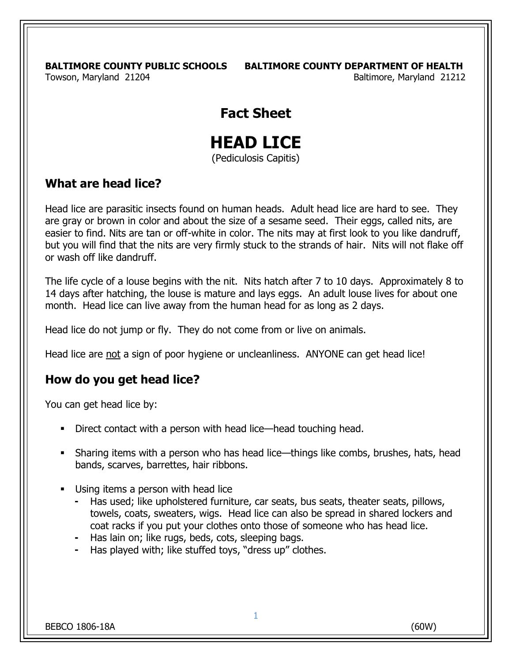**BALTIMORE COUNTY PUBLIC SCHOOLS BALTIMORE COUNTY DEPARTMENT OF HEALTH**

Towson, Maryland 21204 **Baltimore**, Maryland 21212

## **Fact Sheet**

# **HEAD LICE**

(Pediculosis Capitis)

#### **What are head lice?**

Head lice are parasitic insects found on human heads. Adult head lice are hard to see. They are gray or brown in color and about the size of a sesame seed. Their eggs, called nits, are easier to find. Nits are tan or off-white in color. The nits may at first look to you like dandruff, but you will find that the nits are very firmly stuck to the strands of hair. Nits will not flake off or wash off like dandruff.

The life cycle of a louse begins with the nit. Nits hatch after 7 to 10 days. Approximately 8 to 14 days after hatching, the louse is mature and lays eggs. An adult louse lives for about one month. Head lice can live away from the human head for as long as 2 days.

Head lice do not jump or fly. They do not come from or live on animals.

Head lice are not a sign of poor hygiene or uncleanliness. ANYONE can get head lice!

#### **How do you get head lice?**

You can get head lice by:

- Direct contact with a person with head lice—head touching head.
- Sharing items with a person who has head lice—things like combs, brushes, hats, head bands, scarves, barrettes, hair ribbons.
- Using items a person with head lice
	- Has used; like upholstered furniture, car seats, bus seats, theater seats, pillows, towels, coats, sweaters, wigs. Head lice can also be spread in shared lockers and coat racks if you put your clothes onto those of someone who has head lice.
	- Has lain on; like rugs, beds, cots, sleeping bags.
	- Has played with; like stuffed toys, "dress up" clothes.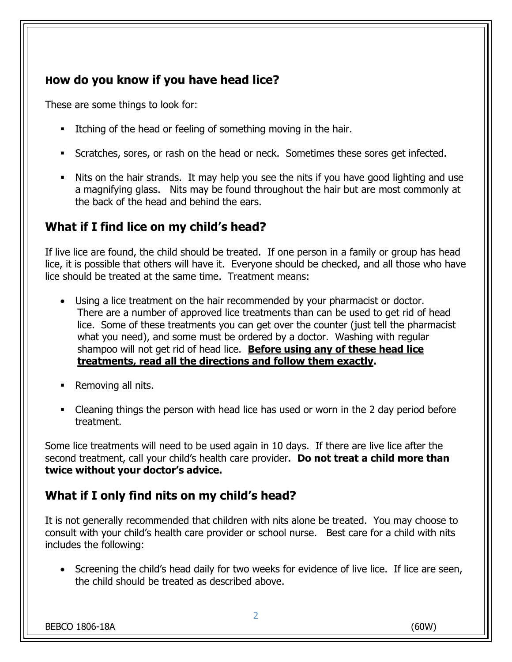### **How do you know if you have head lice?**

These are some things to look for:

- Itching of the head or feeling of something moving in the hair.
- Scratches, sores, or rash on the head or neck. Sometimes these sores get infected.
- Nits on the hair strands. It may help you see the nits if you have good lighting and use a magnifying glass. Nits may be found throughout the hair but are most commonly at the back of the head and behind the ears.

#### **What if I find lice on my child's head?**

If live lice are found, the child should be treated. If one person in a family or group has head lice, it is possible that others will have it. Everyone should be checked, and all those who have lice should be treated at the same time. Treatment means:

- Using a lice treatment on the hair recommended by your pharmacist or doctor. There are a number of approved lice treatments than can be used to get rid of head lice. Some of these treatments you can get over the counter (just tell the pharmacist what you need), and some must be ordered by a doctor. Washing with regular shampoo will not get rid of head lice. **Before using any of these head lice treatments, read all the directions and follow them exactly.**
- Removing all nits.
- Cleaning things the person with head lice has used or worn in the 2 day period before treatment.

Some lice treatments will need to be used again in 10 days. If there are live lice after the second treatment, call your child's health care provider. **Do not treat a child more than twice without your doctor's advice.**

#### **What if I only find nits on my child's head?**

It is not generally recommended that children with nits alone be treated. You may choose to consult with your child's health care provider or school nurse. Best care for a child with nits includes the following:

• Screening the child's head daily for two weeks for evidence of live lice. If lice are seen, the child should be treated as described above.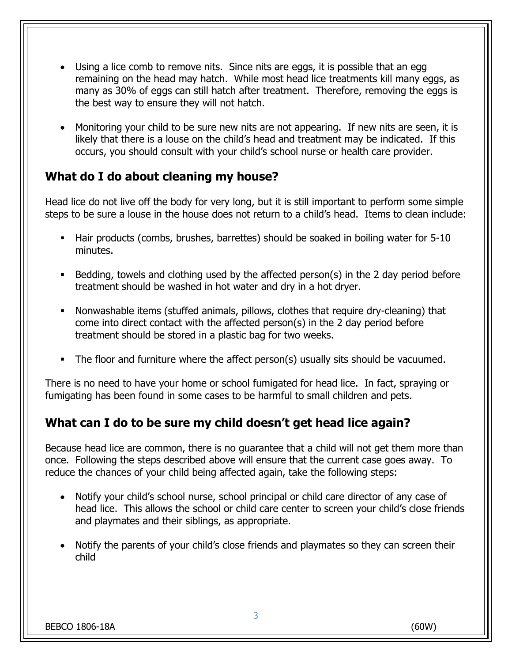- Using a lice comb to remove nits. Since nits are eggs, it is possible that an egg remaining on the head may hatch. While most head lice treatments kill many eggs, as many as 30% of eggs can still hatch after treatment. Therefore, removing the eggs is the best way to ensure they will not hatch.
- Monitoring your child to be sure new nits are not appearing. If new nits are seen, it is likely that there is a louse on the child's head and treatment may be indicated. If this occurs, you should consult with your child's school nurse or health care provider.

#### **What do I do about cleaning my house?**

Head lice do not live off the body for very long, but it is still important to perform some simple steps to be sure a louse in the house does not return to a child's head. Items to clean include:

- Hair products (combs, brushes, barrettes) should be soaked in boiling water for 5-10 minutes.
- Bedding, towels and clothing used by the affected person(s) in the 2 day period before treatment should be washed in hot water and dry in a hot dryer.
- Nonwashable items (stuffed animals, pillows, clothes that require dry-cleaning) that come into direct contact with the affected person(s) in the 2 day period before treatment should be stored in a plastic bag for two weeks.
- The floor and furniture where the affect person(s) usually sits should be vacuumed.

There is no need to have your home or school fumigated for head lice. In fact, spraying or fumigating has been found in some cases to be harmful to small children and pets.

#### **What can I do to be sure my child doesn't get head lice again?**

Because head lice are common, there is no guarantee that a child will not get them more than once. Following the steps described above will ensure that the current case goes away. To reduce the chances of your child being affected again, take the following steps:

- Notify your child's school nurse, school principal or child care director of any case of head lice. This allows the school or child care center to screen your child's close friends and playmates and their siblings, as appropriate.
- Notify the parents of your child's close friends and playmates so they can screen their child